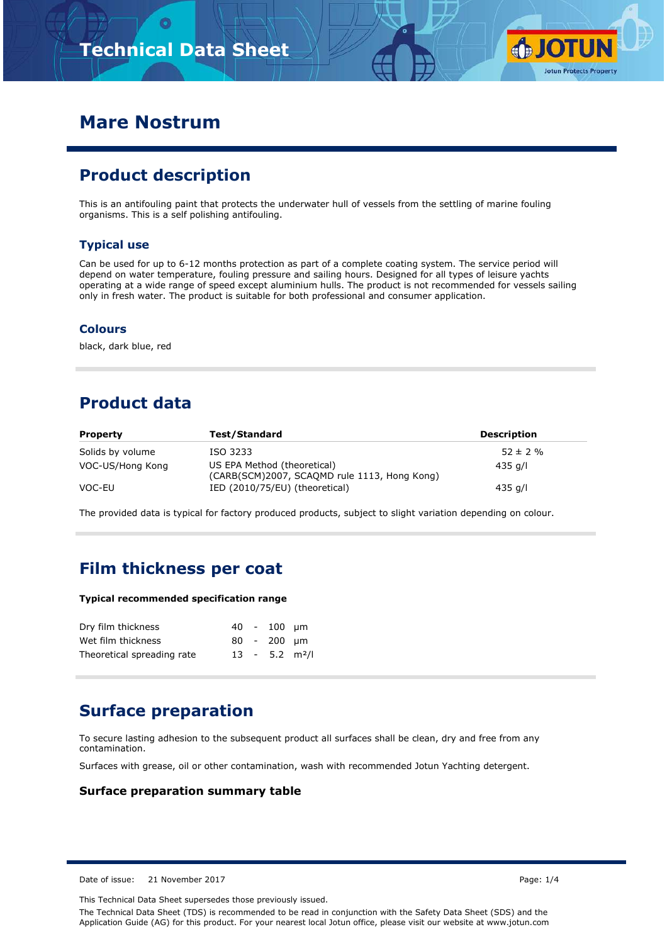

## **Mare Nostrum**

## **Product description**

This is an antifouling paint that protects the underwater hull of vessels from the settling of marine fouling organisms. This is a self polishing antifouling.

### **Typical use**

Can be used for up to 6-12 months protection as part of a complete coating system. The service period will depend on water temperature, fouling pressure and sailing hours. Designed for all types of leisure yachts operating at a wide range of speed except aluminium hulls. The product is not recommended for vessels sailing only in fresh water. The product is suitable for both professional and consumer application.

#### **Colours**

black, dark blue, red

## **Product data**

| <b>Property</b>  | Test/Standard                                                               | <b>Description</b> |  |
|------------------|-----------------------------------------------------------------------------|--------------------|--|
| Solids by volume | ISO 3233                                                                    | $52 \pm 2 \%$      |  |
| VOC-US/Hong Kong | US EPA Method (theoretical)<br>(CARB(SCM)2007, SCAOMD rule 1113, Hong Kong) | 435 a/l            |  |
| VOC-EU           | IED (2010/75/EU) (theoretical)                                              | 435 a/l            |  |

The provided data is typical for factory produced products, subject to slight variation depending on colour.

### **Film thickness per coat**

#### **Typical recommended specification range**

| Dry film thickness         |  | 40 - 100 um                  |  |
|----------------------------|--|------------------------------|--|
| Wet film thickness         |  | 80 - 200 um                  |  |
| Theoretical spreading rate |  | $13 - 5.2$ m <sup>2</sup> /l |  |

## **Surface preparation**

To secure lasting adhesion to the subsequent product all surfaces shall be clean, dry and free from any contamination.

Surfaces with grease, oil or other contamination, wash with recommended Jotun Yachting detergent.

#### **Surface preparation summary table**

Date of issue: 21 November 2017 Page: 1/4

This Technical Data Sheet supersedes those previously issued.

The Technical Data Sheet (TDS) is recommended to be read in conjunction with the Safety Data Sheet (SDS) and the Application Guide (AG) for this product. For your nearest local Jotun office, please visit our website at www.jotun.com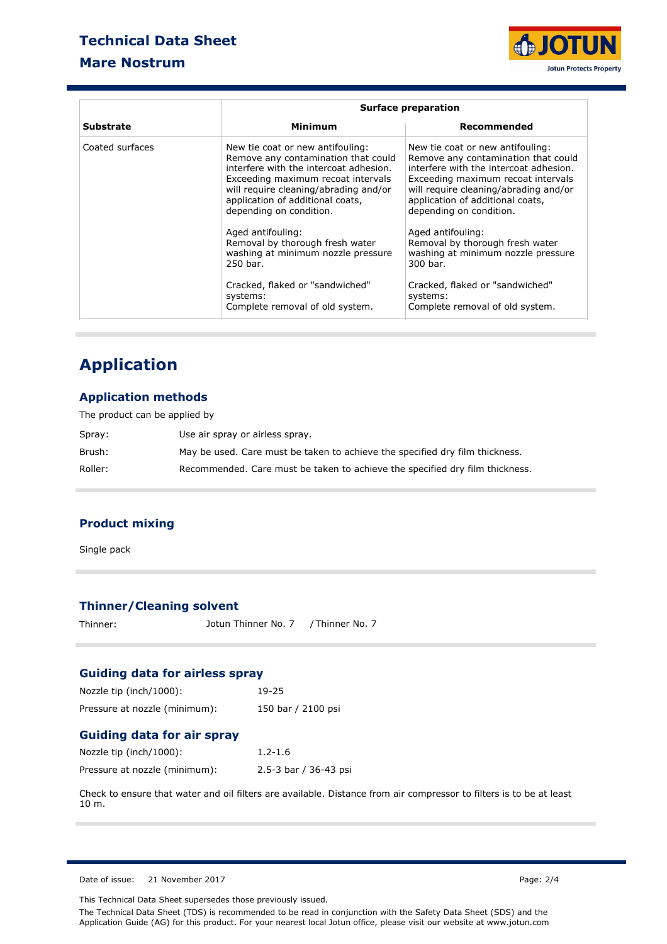### **Technical Data Sheet**

### **Mare Nostrum**



|                  | <b>Surface preparation</b>                                                                                                                                                                                                                                                                                                                                                |                                                                                                                                                                                                                                                                                                                                                                           |  |  |
|------------------|---------------------------------------------------------------------------------------------------------------------------------------------------------------------------------------------------------------------------------------------------------------------------------------------------------------------------------------------------------------------------|---------------------------------------------------------------------------------------------------------------------------------------------------------------------------------------------------------------------------------------------------------------------------------------------------------------------------------------------------------------------------|--|--|
| <b>Substrate</b> | Minimum                                                                                                                                                                                                                                                                                                                                                                   | Recommended                                                                                                                                                                                                                                                                                                                                                               |  |  |
| Coated surfaces  | New tie coat or new antifouling:<br>Remove any contamination that could<br>interfere with the intercoat adhesion.<br>Exceeding maximum recoat intervals<br>will require cleaning/abrading and/or<br>application of additional coats,<br>depending on condition.<br>Aged antifouling:<br>Removal by thorough fresh water<br>washing at minimum nozzle pressure<br>250 bar. | New tie coat or new antifouling:<br>Remove any contamination that could<br>interfere with the intercoat adhesion.<br>Exceeding maximum recoat intervals<br>will require cleaning/abrading and/or<br>application of additional coats,<br>depending on condition.<br>Aged antifouling:<br>Removal by thorough fresh water<br>washing at minimum nozzle pressure<br>300 bar. |  |  |
|                  | Cracked, flaked or "sandwiched"<br>systems:<br>Complete removal of old system.                                                                                                                                                                                                                                                                                            | Cracked, flaked or "sandwiched"<br>systems:<br>Complete removal of old system.                                                                                                                                                                                                                                                                                            |  |  |

# **Application**

### **Application methods**

| The product can be applied by |                                                                              |  |  |
|-------------------------------|------------------------------------------------------------------------------|--|--|
| Spray:                        | Use air spray or airless spray.                                              |  |  |
| Brush:                        | May be used. Care must be taken to achieve the specified dry film thickness. |  |  |
| Roller:                       | Recommended. Care must be taken to achieve the specified dry film thickness. |  |  |

### **Product mixing**

Single pack

### **Thinner/Cleaning solvent**

Thinner: Jotun Thinner No. 7 / Thinner No. 7

### **Guiding data for airless spray**

| Nozzle tip (inch/1000):       | 19-25              |
|-------------------------------|--------------------|
| Pressure at nozzle (minimum): | 150 bar / 2100 psi |

### **Guiding data for air spray**

| Nozzle tip (inch/1000):       | $1.2 - 1.6$           |
|-------------------------------|-----------------------|
| Pressure at nozzle (minimum): | 2.5-3 bar / 36-43 psi |

Check to ensure that water and oil filters are available. Distance from air compressor to filters is to be at least 10 m.

Date of issue: 21 November 2017 Page: 2/4

This Technical Data Sheet supersedes those previously issued.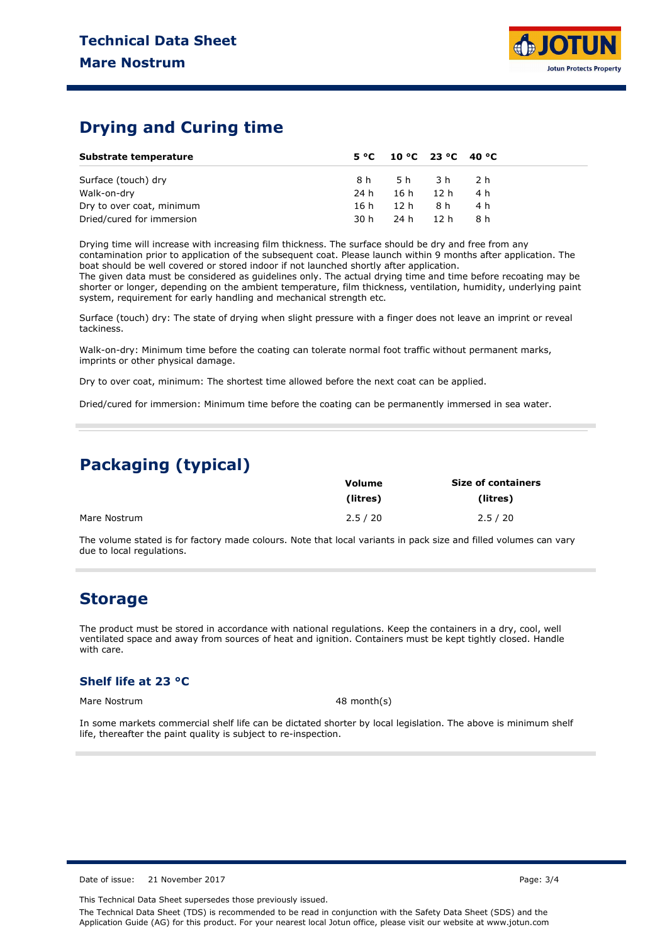## **Drying and Curing time**

| Substrate temperature     |      |          | $5^{\circ}$ C 10 °C 23 °C 40 °C |      |
|---------------------------|------|----------|---------------------------------|------|
| Surface (touch) dry       |      |          | 8h 5h 3h 2h                     |      |
| Walk-on-dry               | 24 h | 16h 12h  |                                 | 4 h  |
| Dry to over coat, minimum | 16 h | 12h      | 8 h                             | 4 h  |
| Dried/cured for immersion | 30 h | 24 h12 h |                                 | -8 h |

Drying time will increase with increasing film thickness. The surface should be dry and free from any contamination prior to application of the subsequent coat. Please launch within 9 months after application. The boat should be well covered or stored indoor if not launched shortly after application.

The given data must be considered as guidelines only. The actual drying time and time before recoating may be shorter or longer, depending on the ambient temperature, film thickness, ventilation, humidity, underlying paint system, requirement for early handling and mechanical strength etc.

Surface (touch) dry: The state of drying when slight pressure with a finger does not leave an imprint or reveal tackiness.

Walk-on-dry: Minimum time before the coating can tolerate normal foot traffic without permanent marks, imprints or other physical damage.

Dry to over coat, minimum: The shortest time allowed before the next coat can be applied.

Dried/cured for immersion: Minimum time before the coating can be permanently immersed in sea water.

### **Packaging (typical)**

|              | <b>Volume</b> | <b>Size of containers</b> |  |  |
|--------------|---------------|---------------------------|--|--|
|              | (litres)      | (litres)                  |  |  |
| Mare Nostrum | 2.5 / 20      | 2.5 / 20                  |  |  |

The volume stated is for factory made colours. Note that local variants in pack size and filled volumes can vary due to local regulations.

### **Storage**

The product must be stored in accordance with national regulations. Keep the containers in a dry, cool, well ventilated space and away from sources of heat and ignition. Containers must be kept tightly closed. Handle with care.

### **Shelf life at 23 °C**

Mare Nostrum 48 month(s)

In some markets commercial shelf life can be dictated shorter by local legislation. The above is minimum shelf life, thereafter the paint quality is subject to re-inspection.

Date of issue: 21 November 2017 **Page: 3/4** 

This Technical Data Sheet supersedes those previously issued.

The Technical Data Sheet (TDS) is recommended to be read in conjunction with the Safety Data Sheet (SDS) and the Application Guide (AG) for this product. For your nearest local Jotun office, please visit our website at www.jotun.com